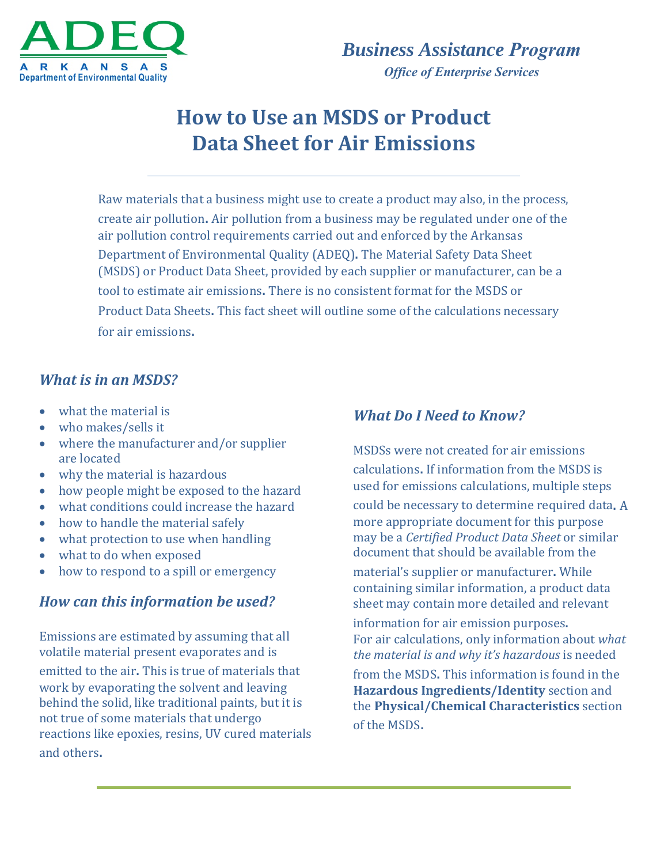

# **How to Use an MSDS or Product Data Sheet for Air Emissions**

Raw materials that a business might use to create a product may also, in the process, create air pollution. Air pollution from a business may be regulated under one of the air pollution control requirements carried out and enforced by the Arkansas Department of Environmental Quality (ADEQ). The Material Safety Data Sheet (MSDS) or Product Data Sheet, provided by each supplier or manufacturer, can be a tool to estimate air emissions. There is no consistent format for the MSDS or Product Data Sheets. This fact sheet will outline some of the calculations necessary for air emissions.

### *What is in an MSDS?*

- what the material is
- $\bullet$  who makes/sells it
- $\bullet$  where the manufacturer and/or supplier are located
- why the material is hazardous
- how people might be exposed to the hazard
- what conditions could increase the hazard
- how to handle the material safely
- $\bullet$  what protection to use when handling
- what to do when exposed
- how to respond to a spill or emergency

#### *How can this information be used?*

Emissions are estimated by assuming that all volatile material present evaporates and is

emitted to the air. This is true of materials that work by evaporating the solvent and leaving behind the solid, like traditional paints, but it is not true of some materials that undergo reactions like epoxies, resins, UV cured materials and others.

#### *What Do I Need to Know?*

MSDSs were not created for air emissions calculations. If information from the MSDS is used for emissions calculations, multiple steps could be necessary to determine required data. A more appropriate document for this purpose may be a *Certified Product Data Sheet* or similar document that should be available from the material's supplier or manufacturer. While containing similar information, a product data sheet may contain more detailed and relevant

information for air emission purposes. For air calculations, only information about *what the material is and why it's hazardous* is needed from the MSDS. This information is found in the **Hazardous Ingredients/Identity** section and the **Physical/Chemical Characteristics** section of the MSDS.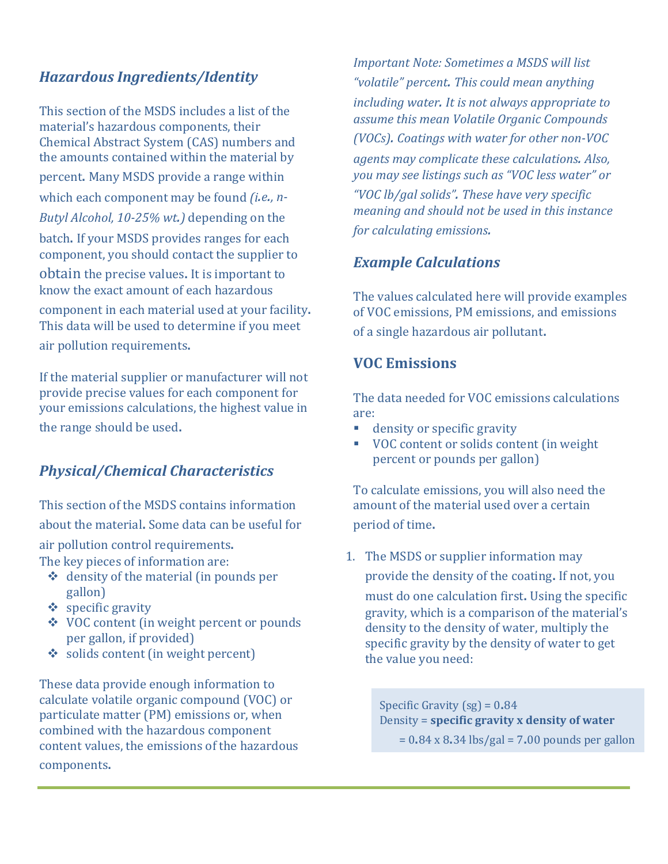# *Hazardous Ingredients/Identity*

This section of the MSDS includes a list of the material's hazardous components, their Chemical Abstract System (CAS) numbers and the amounts contained within the material by percent. Many MSDS provide a range within which each component may be found *(i.e., n*-*Butyl Alcohol, 10-25% wt.)* depending on the batch. If your MSDS provides ranges for each component, you should contact the supplier to obtain the precise values. It is important to know the exact amount of each hazardous component in each material used at your facility. This data will be used to determine if you meet air pollution requirements.

If the material supplier or manufacturer will not provide precise values for each component for your emissions calculations, the highest value in the range should be used.

# *Physical/Chemical Characteristics*

This section of the MSDS contains information about the material. Some data can be useful for air pollution control requirements. The key pieces of information are:

- $\triangleleft$  density of the material (in pounds per gallon)
- $\div$  specific gravity
- ◆ VOC content (in weight percent or pounds per gallon, if provided)
- $\bullet$  solids content (in weight percent)

These data provide enough information to calculate volatile organic compound (VOC) or particulate matter (PM) emissions or, when combined with the hazardous component content values, the emissions of the hazardous components.

*Important Note: Sometimes a MSDS will list "volatile" percent. This could mean anything including water. It is not always appropriate to assume this mean Volatile Organic Compounds (VOCs). Coatings with water for other non‐VOC agents may complicate these calculations. Also, you may see listings such as "VOC less water" or "VOC lb/gal solids". These have very specific meaning and should not be used in this instance for calculating emissions.*

### *Example Calculations*

The values calculated here will provide examples of VOC emissions, PM emissions, and emissions of a single hazardous air pollutant.

#### **VOC Emissions**

The data needed for VOC emissions calculations are: 

- **density or specific gravity**
- VOC content or solids content (in weight percent or pounds per gallon)

To calculate emissions, you will also need the amount of the material used over a certain period of time.

1. The MSDS or supplier information may

provide the density of the coating. If not, you

must do one calculation first. Using the specific gravity, which is a comparison of the material's density to the density of water, multiply the specific gravity by the density of water to get the value you need:

Specific Gravity  $(sg) = 0.84$ Density = **specific gravity x density of water**

 $= 0.84 \times 8.34$  lbs/gal = 7.00 pounds per gallon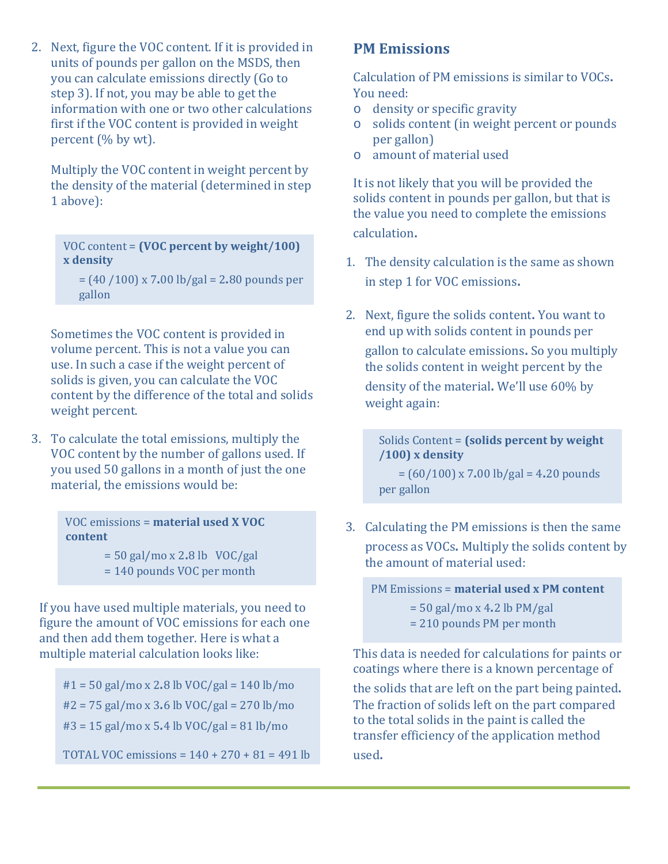2. Next, figure the VOC content. If it is provided in units of pounds per gallon on the MSDS, then you can calculate emissions directly (Go to step 3). If not, you may be able to get the information with one or two other calculations first if the VOC content is provided in weight percent  $%$  by wt).

Multiply the VOC content in weight percent by the density of the material (determined in step) 1 above):

VOC content = **(VOC percent by** VOC content = **(VOC percent by weight/100) weight/100) x density x density**

 $=(40 / 100) \times 7.00$  lb/gal = 2.80 pounds per eration<br>gallon

Sometimes the VOC content is provided in volume percent. This is not a value you can use. In such a case if the weight percent of solids is given, you can calculate the VOC content by the difference of the total and solids weight percent.

3. To calculate the total emissions, multiply the VOC content by the number of gallons used. If you used 50 gallons in a month of just the one material, the emissions would be:

> VOC emissions = **material used X VOC** VOC emissions = **material used X VOC content content**

 $= 50$  gal/mo x 2.8 lb VOC/gal = 140 pounds VOC per month = 140 pounds VOC per month 

If you have used multiple materials, you need to figure the amount of VOC emissions for each one and then add them together. Here is what a multiple material calculation looks like:

 $#1 = 50$  gal/mo x 2.8 lb VOC/gal = 140 lb/mo  $#2 = 75$  gal/mo x 3.6 lb VOC/gal = 270 lb/mo  $#3 = 15$  gal/mo x 5.4 lb VOC/gal = 81 lb/mo

TOTAL VOC emissions =  $140 + 270 + 81 = 491$  lb

#### **PM Emissions**

Calculation of PM emissions is similar to VOCs. You need:

- o density or specific gravity
- $\circ$  solids content (in weight percent or pounds per gallon)
- o amount of material used

It is not likely that you will be provided the solids content in pounds per gallon, but that is the value you need to complete the emissions calculation.

- 1. The density calculation is the same as shown in step 1 for VOC emissions.
- 2. Next, figure the solids content. You want to end up with solids content in pounds per gallon to calculate emissions. So you multiply the solids content in weight percent by the density of the material. We'll use 60% by weight again:

Solids Content = **(solids percent by weight /100) x density**  $=(60/100) \times 7.00 \text{ lb/gal} = 4.20 \text{ pounds}$ per gallon

3. Calculating the PM emissions is then the same process as VOCs. Multiply the solids content by the amount of material used:

PM Emissions = **material used x PM content**

 $= 50$  gal/mo x 4.2 lb PM/gal

 $= 210$  pounds PM per month

This data is needed for calculations for paints or coatings where there is a known percentage of

the solids that are left on the part being painted. The fraction of solids left on the part compared to the total solids in the paint is called the transfer efficiency of the application method used.